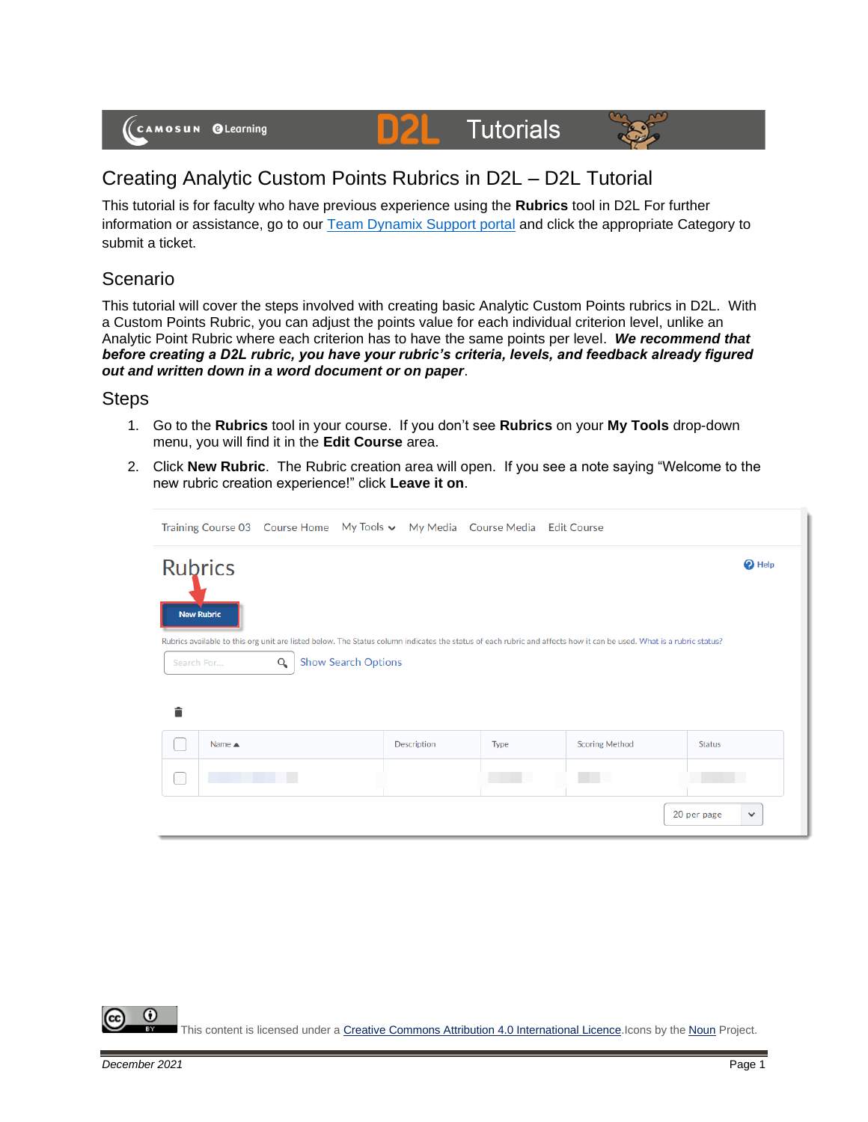# **Tutorials**



## Creating Analytic Custom Points Rubrics in D2L – D2L Tutorial

D

This tutorial is for faculty who have previous experience using the **Rubrics** tool in D2L For further information or assistance, go to our [Team Dynamix Support portal](https://camosun.teamdynamix.com/TDClient/67/Portal/Requests/ServiceCatalog?CategoryID=523) and click the appropriate Category to submit a ticket.

#### Scenario

This tutorial will cover the steps involved with creating basic Analytic Custom Points rubrics in D2L. With a Custom Points Rubric, you can adjust the points value for each individual criterion level, unlike an Analytic Point Rubric where each criterion has to have the same points per level. *We recommend that before creating a D2L rubric, you have your rubric's criteria, levels, and feedback already figured out and written down in a word document or on paper*.

#### **Steps**

- 1. Go to the **Rubrics** tool in your course. If you don't see **Rubrics** on your **My Tools** drop-down menu, you will find it in the **Edit Course** area.
- 2. Click **New Rubric**. The Rubric creation area will open. If you see a note saying "Welcome to the new rubric creation experience!" click **Leave it on**.

|   |                                 |          |                            |             | Training Course 03 Course Home My Tools v My Media Course Media Edit Course |                                                                                                                                                                     |                             |
|---|---------------------------------|----------|----------------------------|-------------|-----------------------------------------------------------------------------|---------------------------------------------------------------------------------------------------------------------------------------------------------------------|-----------------------------|
|   | <b>Rubrics</b>                  |          |                            |             |                                                                             |                                                                                                                                                                     | $\bullet$ Help              |
|   | <b>New Rubric</b><br>Search For | $\alpha$ | <b>Show Search Options</b> |             |                                                                             | Rubrics available to this org unit are listed below. The Status column indicates the status of each rubric and affects how it can be used. What is a rubric status? |                             |
| Ê | Name $\triangle$                |          |                            | Description | Type                                                                        | <b>Scoring Method</b>                                                                                                                                               | <b>Status</b>               |
|   |                                 |          |                            |             |                                                                             |                                                                                                                                                                     |                             |
|   |                                 |          |                            |             |                                                                             |                                                                                                                                                                     | 20 per page<br>$\checkmark$ |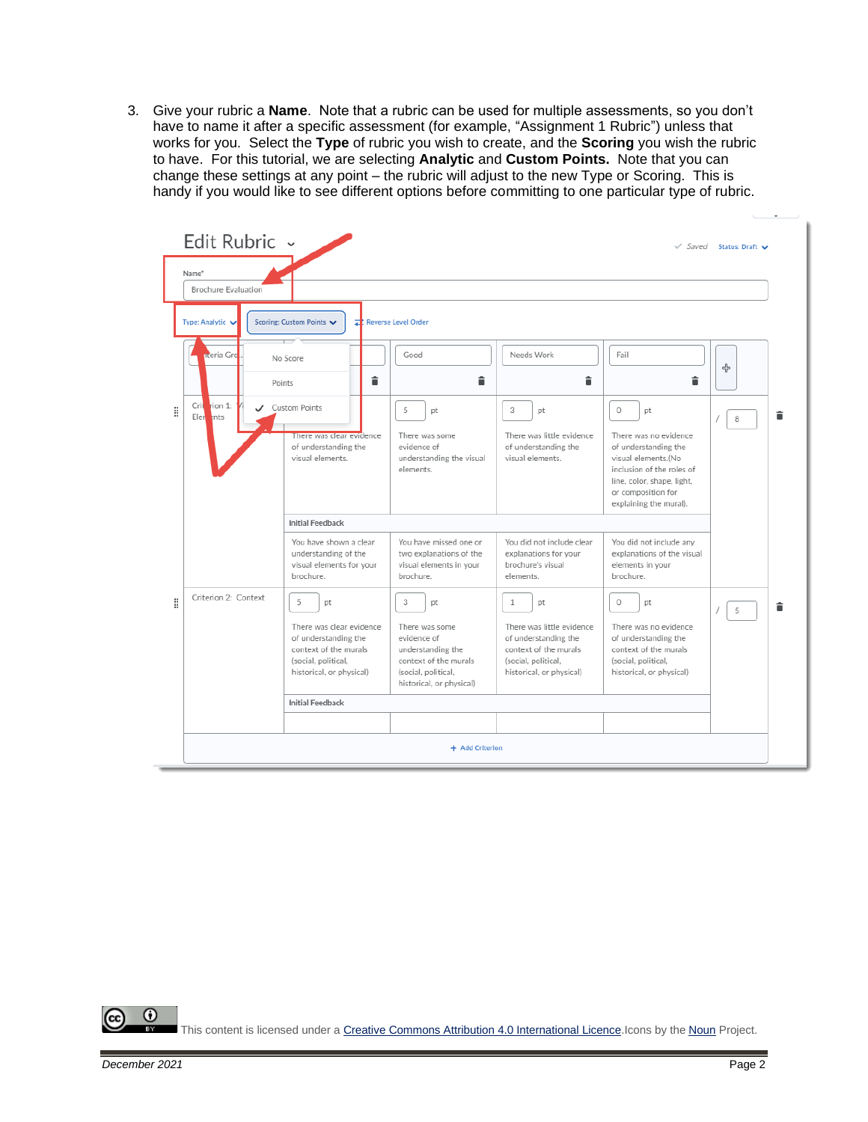3. Give your rubric a **Name**. Note that a rubric can be used for multiple assessments, so you don't have to name it after a specific assessment (for example, "Assignment 1 Rubric") unless that works for you. Select the **Type** of rubric you wish to create, and the **Scoring** you wish the rubric to have. For this tutorial, we are selecting **Analytic** and **Custom Points.** Note that you can change these settings at any point – the rubric will adjust to the new Type or Scoring. This is handy if you would like to see different options before committing to one particular type of rubric.

|   | Edit Rubric ~                              |                                                                                                                                         |                                                                                                                                           |                                                                                                                                                     |                                                                                                                                                                                                  | $\checkmark$ Saved Status: Draft $\checkmark$ |
|---|--------------------------------------------|-----------------------------------------------------------------------------------------------------------------------------------------|-------------------------------------------------------------------------------------------------------------------------------------------|-----------------------------------------------------------------------------------------------------------------------------------------------------|--------------------------------------------------------------------------------------------------------------------------------------------------------------------------------------------------|-----------------------------------------------|
|   | Name*<br>Brochure Evaluation               |                                                                                                                                         |                                                                                                                                           |                                                                                                                                                     |                                                                                                                                                                                                  |                                               |
|   | Type: Analytic                             | Scoring: Custom Points V                                                                                                                | Reverse Level Order                                                                                                                       |                                                                                                                                                     |                                                                                                                                                                                                  |                                               |
|   | nteria Gro<br>Points                       | No Score<br>貪                                                                                                                           | Good<br>â                                                                                                                                 | Needs Work<br>â                                                                                                                                     | Fail<br>â                                                                                                                                                                                        | 슈                                             |
| H | Crit<br>rion 1:<br>$\cdot$<br>Eler<br>ents | <b>Custom Points</b><br>There was clear evidence<br>of understanding the<br>visual elements.                                            | 5<br><b>pt</b><br>There was some<br>evidence of<br>understanding the visual<br>elements.                                                  | 3<br>pt<br>There was little evidence<br>of understanding the<br>visual elements.                                                                    | $\circ$<br>pt<br>There was no evidence<br>of understanding the<br>visual elements.(No<br>inclusion of the roles of<br>line, color, shape, light,<br>or composition for<br>explaining the mural). | î<br>8                                        |
|   |                                            | <b>Initial Feedback</b><br>You have shown a clear<br>understanding of the<br>visual elements for your<br>brochure.                      | You have missed one or<br>two explanations of the<br>visual elements in your<br>brochure.                                                 | You did not include clear<br>explanations for your<br>brochure's visual<br>elements.                                                                | You did not include any<br>explanations of the visual<br>elements in your<br>brochure.                                                                                                           |                                               |
| H | Criterion 2: Context                       | 5<br>pt<br>There was clear evidence<br>of understanding the<br>context of the murals<br>(social, political,<br>historical, or physical) | 3<br>pt<br>There was some<br>evidence of<br>understanding the<br>context of the murals<br>(social, political,<br>historical, or physical) | $\mathbf{1}$<br>pt<br>There was little evidence<br>of understanding the<br>context of the murals<br>(social, political,<br>historical, or physical) | $\circ$<br>pt<br>There was no evidence<br>of understanding the<br>context of the murals<br>(social, political,<br>historical, or physical)                                                       | â<br>5                                        |
|   |                                            | <b>Initial Feedback</b>                                                                                                                 |                                                                                                                                           |                                                                                                                                                     |                                                                                                                                                                                                  |                                               |
|   |                                            |                                                                                                                                         | + Add Criterion                                                                                                                           |                                                                                                                                                     |                                                                                                                                                                                                  |                                               |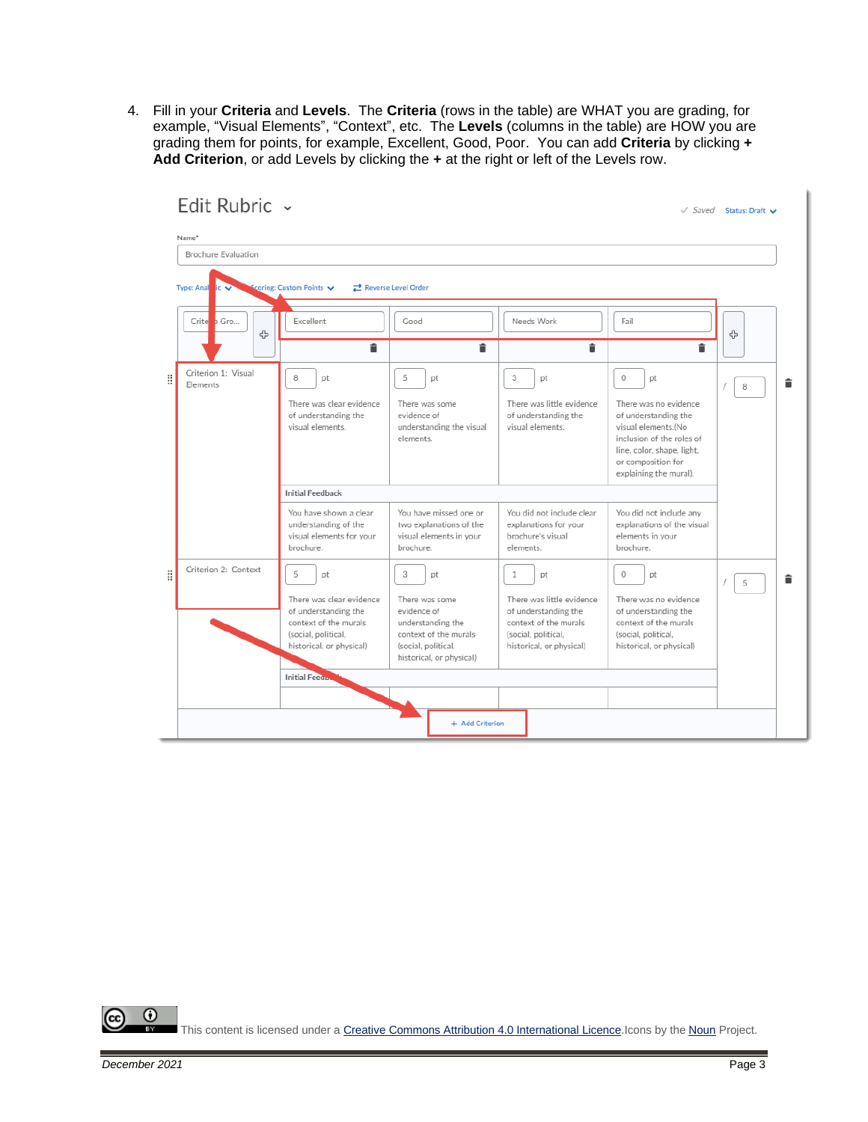4. Fill in your **Criteria** and **Levels**. The **Criteria** (rows in the table) are WHAT you are grading, for example, "Visual Elements", "Context", etc. The **Levels** (columns in the table) are HOW you are grading them for points, for example, Excellent, Good, Poor. You can add **Criteria** by clicking **+ Add Criterion**, or add Levels by clicking the **+** at the right or left of the Levels row.

|   | LUIL INUDITU                    |                                                                                                                                         |                                                                                                                                           |                                                                                                                                                     |                                                                                                                                                                                 | $\sqrt{S}$ aved Status: Draft $\vee$ |
|---|---------------------------------|-----------------------------------------------------------------------------------------------------------------------------------------|-------------------------------------------------------------------------------------------------------------------------------------------|-----------------------------------------------------------------------------------------------------------------------------------------------------|---------------------------------------------------------------------------------------------------------------------------------------------------------------------------------|--------------------------------------|
|   | Name*                           |                                                                                                                                         |                                                                                                                                           |                                                                                                                                                     |                                                                                                                                                                                 |                                      |
|   | Brochure Evaluation             |                                                                                                                                         |                                                                                                                                           |                                                                                                                                                     |                                                                                                                                                                                 |                                      |
|   | <b>Type: Anal</b>               | coring: Custom Points                                                                                                                   | <b>z</b> Reverse Level Order                                                                                                              |                                                                                                                                                     |                                                                                                                                                                                 |                                      |
|   | Crite a Gro<br>4                | Excellent<br>î                                                                                                                          | Good                                                                                                                                      | Needs Work<br>Ê                                                                                                                                     | Fail<br>â                                                                                                                                                                       | ╬                                    |
| H | Criterion 1: Visual<br>Flements | 8<br>pt                                                                                                                                 | î<br>5<br>pt                                                                                                                              | 3<br>pt                                                                                                                                             | $\circ$<br>pt                                                                                                                                                                   | î<br>8                               |
|   |                                 | There was clear evidence<br>of understanding the<br>visual elements.                                                                    | There was some<br>evidence of<br>understanding the visual<br>elements.                                                                    | There was little evidence<br>of understanding the<br>visual elements.                                                                               | There was no evidence<br>of understanding the<br>visual elements.(No<br>inclusion of the roles of<br>line, color, shape, light,<br>or composition for<br>explaining the mural). |                                      |
|   |                                 | <b>Initial Feedback</b>                                                                                                                 |                                                                                                                                           |                                                                                                                                                     |                                                                                                                                                                                 |                                      |
|   |                                 | You have shown a clear<br>understanding of the<br>visual elements for your<br>brochure.                                                 | You have missed one or<br>two explanations of the<br>visual elements in your<br>brochure.                                                 | You did not include clear<br>explanations for your<br>brochure's visual<br>elements.                                                                | You did not include any<br>explanations of the visual<br>elements in your<br>brochure.                                                                                          |                                      |
| H | Criterion 2: Context            | 5<br>pt<br>There was clear evidence<br>of understanding the<br>context of the murals<br>(social, political,<br>historical, or physical) | 3<br>pt<br>There was some<br>evidence of<br>understanding the<br>context of the murals<br>(social, political,<br>historical, or physical) | $\mathbf{1}$<br>pt<br>There was little evidence<br>of understanding the<br>context of the murals<br>(social, political,<br>historical, or physical) | $\circ$<br>pt<br>There was no evidence<br>of understanding the<br>context of the murals<br>(social, political,<br>historical, or physical)                                      | î<br>5                               |
|   |                                 | <b>Initial Feedul</b>                                                                                                                   |                                                                                                                                           |                                                                                                                                                     |                                                                                                                                                                                 |                                      |
|   |                                 |                                                                                                                                         | + Add Criterion                                                                                                                           |                                                                                                                                                     |                                                                                                                                                                                 |                                      |

Edit Rubric ...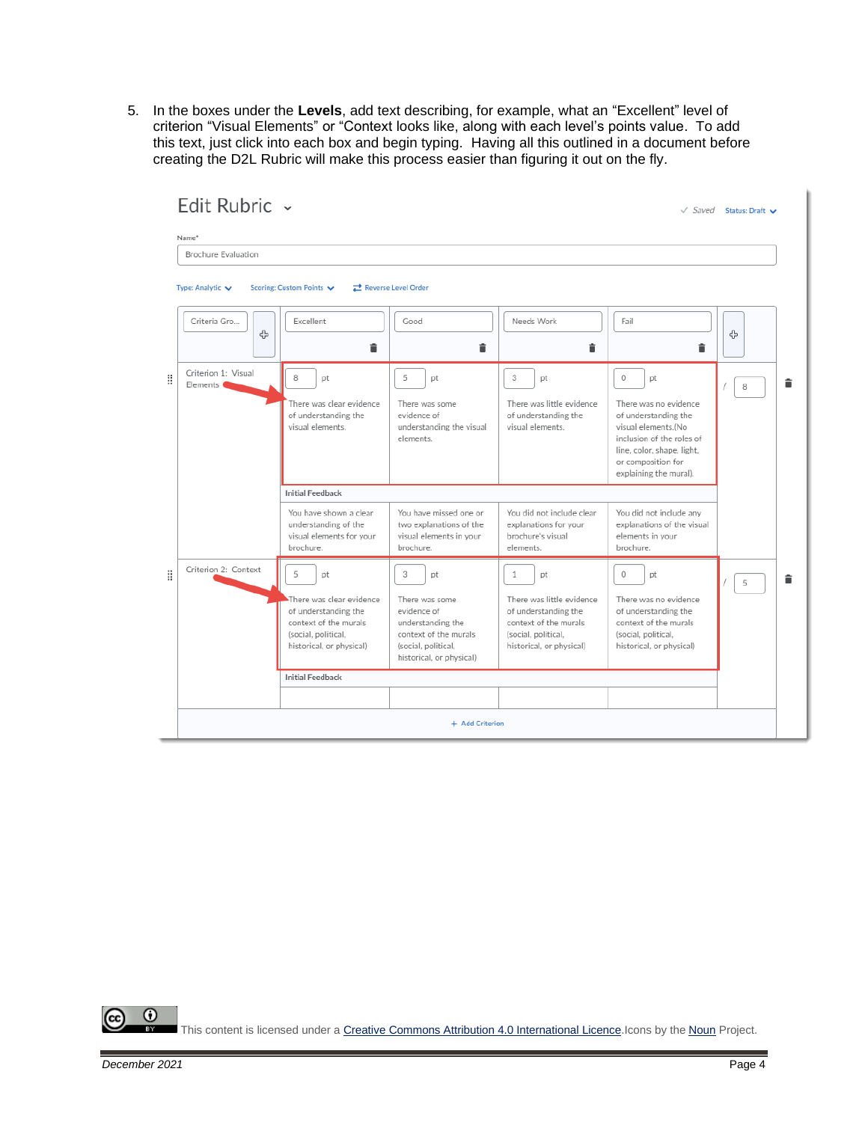5. In the boxes under the **Levels**, add text describing, for example, what an "Excellent" level of criterion "Visual Elements" or "Context looks like, along with each level's points value. To add this text, just click into each box and begin typing. Having all this outlined in a document before

|   | EQIL RUDLIC $\rightarrow$<br>Name*           |                                                                                                                                         |                                                                                                                                           |                                                                                                                                                     |                                                                                                                                                                                                  | $\sqrt{S}$ aved Status: Draft $\sqrt{S}$ |   |
|---|----------------------------------------------|-----------------------------------------------------------------------------------------------------------------------------------------|-------------------------------------------------------------------------------------------------------------------------------------------|-----------------------------------------------------------------------------------------------------------------------------------------------------|--------------------------------------------------------------------------------------------------------------------------------------------------------------------------------------------------|------------------------------------------|---|
|   | Brochure Evaluation                          |                                                                                                                                         |                                                                                                                                           |                                                                                                                                                     |                                                                                                                                                                                                  |                                          |   |
|   | Type: Analytic ↓                             | Scoring: Custom Points                                                                                                                  | <b>z</b> Reverse Level Order                                                                                                              |                                                                                                                                                     |                                                                                                                                                                                                  |                                          |   |
|   | Criteria Gro<br>4                            | Excellent<br>â                                                                                                                          | Good<br>â                                                                                                                                 | Needs Work<br>î                                                                                                                                     | Fail<br>î                                                                                                                                                                                        | 유                                        |   |
| H | Criterion 1: Visual<br>Elements <sup>(</sup> | 8<br>pt<br>There was clear evidence<br>of understanding the<br>visual elements.                                                         | 5<br>pt<br>There was some<br>evidence of<br>understanding the visual<br>elements.                                                         | 3<br>pt<br>There was little evidence<br>of understanding the<br>visual elements.                                                                    | $\circ$<br>pt<br>There was no evidence<br>of understanding the<br>visual elements.(No<br>inclusion of the roles of<br>line, color, shape, light,<br>or composition for<br>explaining the mural). | 8                                        | î |
|   |                                              | <b>Initial Feedback</b><br>You have shown a clear<br>understanding of the<br>visual elements for your<br>brochure.                      | You have missed one or<br>two explanations of the<br>visual elements in your<br>brochure.                                                 | You did not include clear<br>explanations for your<br>brochure's visual<br>elements.                                                                | You did not include any<br>explanations of the visual<br>elements in your<br>brochure.                                                                                                           |                                          |   |
| H | Criterion 2: Context                         | 5<br>pt<br>There was clear evidence<br>of understanding the<br>context of the murals<br>(social, political,<br>historical, or physical) | 3<br>pt<br>There was some<br>evidence of<br>understanding the<br>context of the murals<br>(social, political,<br>historical, or physical) | $\mathbf{1}$<br>pt<br>There was little evidence<br>of understanding the<br>context of the murals<br>(social, political,<br>historical, or physical) | $\circ$<br>pt<br>There was no evidence<br>of understanding the<br>context of the murals<br>(social, political,<br>historical, or physical)                                                       | 5                                        | â |
|   |                                              | <b>Initial Feedback</b>                                                                                                                 |                                                                                                                                           |                                                                                                                                                     |                                                                                                                                                                                                  |                                          |   |
|   |                                              |                                                                                                                                         |                                                                                                                                           |                                                                                                                                                     |                                                                                                                                                                                                  |                                          |   |
|   |                                              |                                                                                                                                         | + Add Criterion                                                                                                                           |                                                                                                                                                     |                                                                                                                                                                                                  |                                          |   |

creating the D2L Rubric will make this process easier than figuring it out on the fly. $L = L$   $L = L$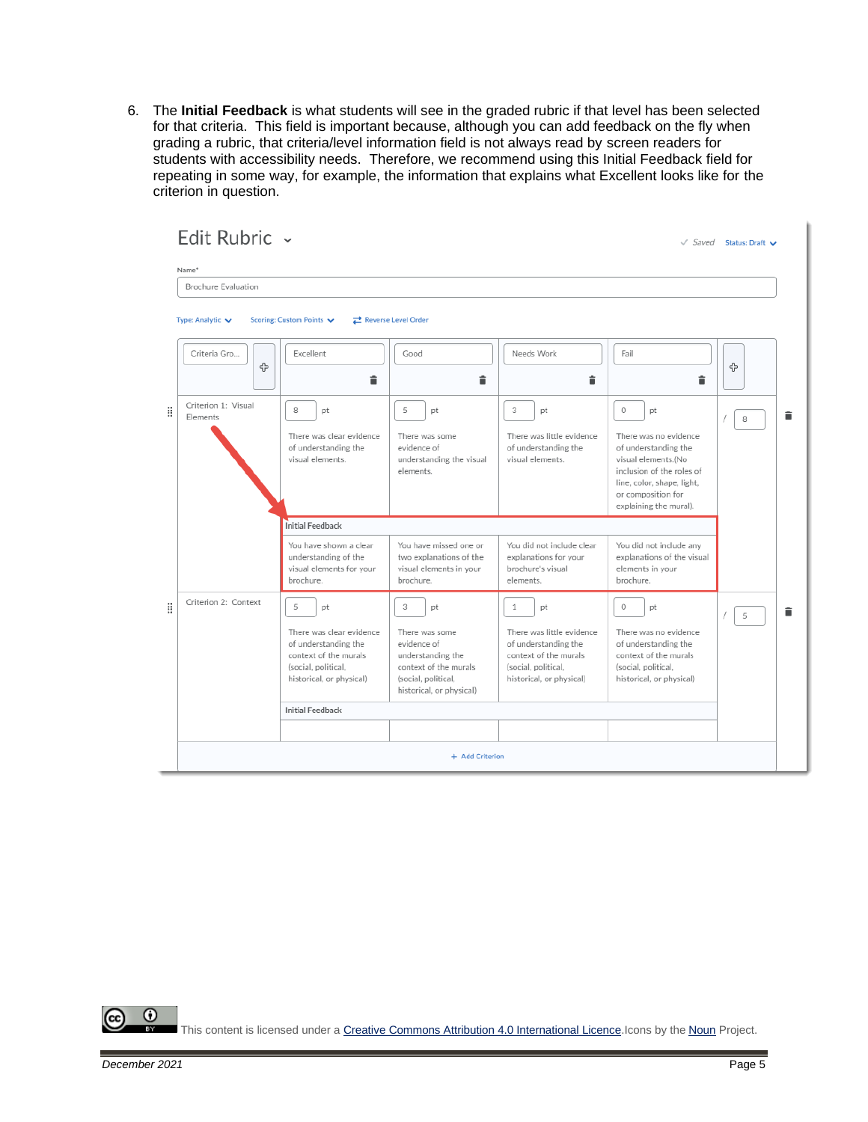6. The **Initial Feedback** is what students will see in the graded rubric if that level has been selected for that criteria. This field is important because, although you can add feedback on the fly when grading a rubric, that criteria/level information field is not always read by screen readers for students with accessibility needs. Therefore, we recommend using this Initial Feedback field for repeating in some way, for example, the information that explains what Excellent looks like for the criterion in question.

|   | Edit Rubric ~                        |                                                                                                                                         |                                                                                                                                                  |                                                                                                                                                     |                                                                                                                                                                                                  | $\sqrt{S}$ aved Status: Draft $\vee$ |
|---|--------------------------------------|-----------------------------------------------------------------------------------------------------------------------------------------|--------------------------------------------------------------------------------------------------------------------------------------------------|-----------------------------------------------------------------------------------------------------------------------------------------------------|--------------------------------------------------------------------------------------------------------------------------------------------------------------------------------------------------|--------------------------------------|
|   | Name*                                |                                                                                                                                         |                                                                                                                                                  |                                                                                                                                                     |                                                                                                                                                                                                  |                                      |
|   | Brochure Evaluation                  |                                                                                                                                         |                                                                                                                                                  |                                                                                                                                                     |                                                                                                                                                                                                  |                                      |
|   | Type: Analytic $\blacktriangleright$ | Scoring: Custom Points                                                                                                                  | Reverse Level Order                                                                                                                              |                                                                                                                                                     |                                                                                                                                                                                                  |                                      |
|   | Criteria Gro<br>ሩ                    | Excellent<br>â                                                                                                                          | Good<br>â                                                                                                                                        | Needs Work<br>î                                                                                                                                     | Fail<br>â                                                                                                                                                                                        | 슈                                    |
| H | Criterion 1: Visual<br>Flements      | 8<br>pt<br>There was clear evidence<br>of understanding the<br>visual elements.                                                         | 5<br><b>pt</b><br>There was some<br>evidence of<br>understanding the visual<br>elements.                                                         | 3<br>pt<br>There was little evidence<br>of understanding the<br>visual elements.                                                                    | $\circ$<br>pt<br>There was no evidence<br>of understanding the<br>visual elements.(No<br>inclusion of the roles of<br>line, color, shape, light,<br>or composition for<br>explaining the mural). | î<br>8                               |
|   |                                      | <b>Initial Feedback</b>                                                                                                                 |                                                                                                                                                  |                                                                                                                                                     |                                                                                                                                                                                                  |                                      |
|   |                                      | You have shown a clear<br>understanding of the<br>visual elements for your<br>brochure.                                                 | You have missed one or<br>two explanations of the<br>visual elements in your<br>brochure.                                                        | You did not include clear<br>explanations for your<br>brochure's visual<br>elements.                                                                | You did not include any<br>explanations of the visual<br>elements in your<br>brochure.                                                                                                           |                                      |
| B | Criterion 2: Context                 | 5<br>pt<br>There was clear evidence<br>of understanding the<br>context of the murals<br>(social, political,<br>historical, or physical) | 3<br><b>pt</b><br>There was some<br>evidence of<br>understanding the<br>context of the murals<br>(social, political,<br>historical, or physical) | $\mathbf{1}$<br>pt<br>There was little evidence<br>of understanding the<br>context of the murals<br>(social, political,<br>historical, or physical) | 0<br>pt<br>There was no evidence<br>of understanding the<br>context of the murals<br>(social, political,<br>historical, or physical)                                                             | î<br>5                               |
|   |                                      | <b>Initial Feedback</b>                                                                                                                 |                                                                                                                                                  |                                                                                                                                                     |                                                                                                                                                                                                  |                                      |
|   |                                      |                                                                                                                                         |                                                                                                                                                  |                                                                                                                                                     |                                                                                                                                                                                                  |                                      |
|   |                                      |                                                                                                                                         | + Add Criterion                                                                                                                                  |                                                                                                                                                     |                                                                                                                                                                                                  |                                      |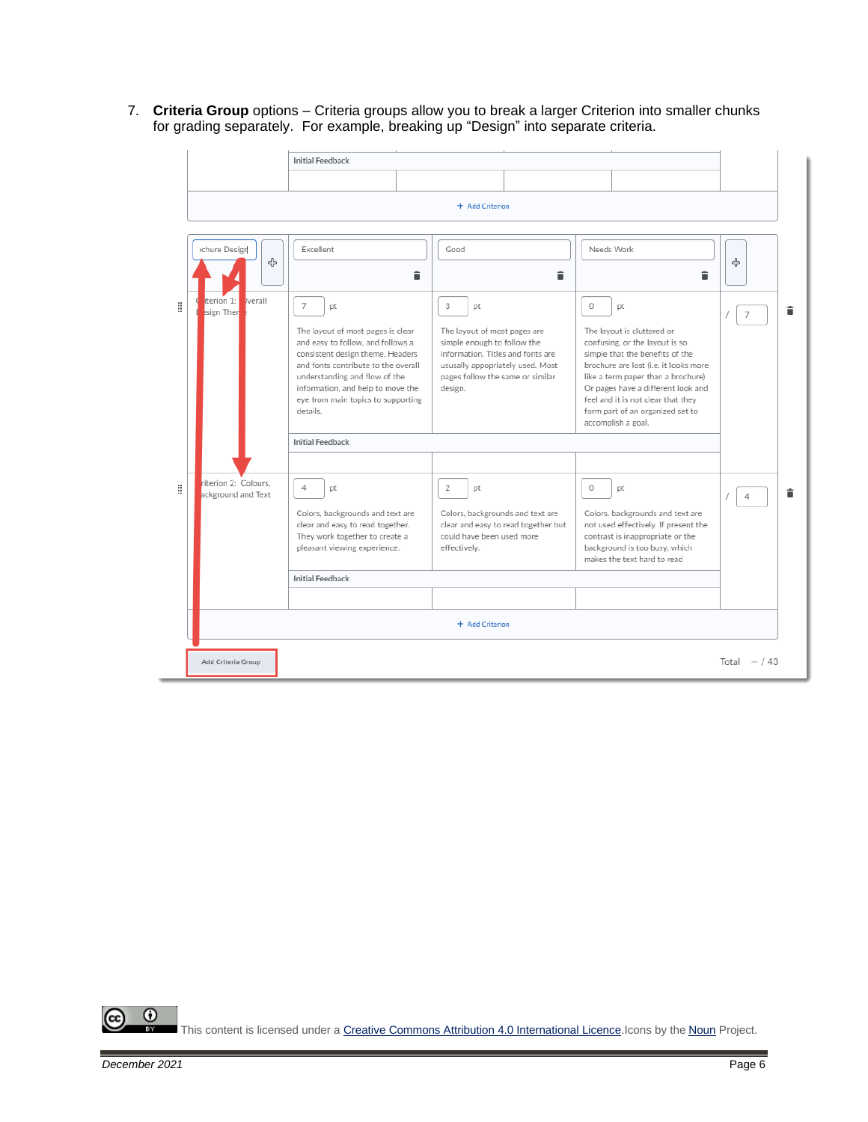7. **Criteria Group** options – Criteria groups allow you to break a larger Criterion into smaller chunks for grading separately. For example, breaking up "Design" into separate criteria.

|   |                                            | <b>Initial Feedback</b>                                                                                                                                                                                                                                                              |                                                                                                                                                                                                |         |                                                                                                                                                                                                                                                                                                                                   |                |  |  |
|---|--------------------------------------------|--------------------------------------------------------------------------------------------------------------------------------------------------------------------------------------------------------------------------------------------------------------------------------------|------------------------------------------------------------------------------------------------------------------------------------------------------------------------------------------------|---------|-----------------------------------------------------------------------------------------------------------------------------------------------------------------------------------------------------------------------------------------------------------------------------------------------------------------------------------|----------------|--|--|
|   |                                            |                                                                                                                                                                                                                                                                                      |                                                                                                                                                                                                |         |                                                                                                                                                                                                                                                                                                                                   |                |  |  |
|   |                                            |                                                                                                                                                                                                                                                                                      | + Add Criterion                                                                                                                                                                                |         |                                                                                                                                                                                                                                                                                                                                   |                |  |  |
|   |                                            |                                                                                                                                                                                                                                                                                      |                                                                                                                                                                                                |         |                                                                                                                                                                                                                                                                                                                                   |                |  |  |
|   | chure Design<br>유                          | Excellent                                                                                                                                                                                                                                                                            | Good<br>î                                                                                                                                                                                      | î       | Needs Work<br>î                                                                                                                                                                                                                                                                                                                   | 4              |  |  |
| H | iterion 1:<br><b>b</b> verall<br>sign Then | 7<br>pt<br>The layout of most pages is clear<br>and easy to follow, and follows a<br>consistent design theme. Headers<br>and fonts contribute to the overall<br>understanding and flow of the<br>information, and help to move the<br>eye from main topics to supporting<br>details. | 3<br>pt<br>The layout of most pages are<br>simple enough to follow the<br>information. Titles and fonts are<br>ususally appopriately used. Most<br>pages follow the same or similar<br>design. | $\circ$ | <b>pt</b><br>The layout is cluttered or<br>confusing, or the layout is so<br>simple that the benefits of the<br>brochure are lost (i.e. it looks more<br>like a term paper than a brochure)<br>Or pages have a different look and<br>feel and it is not clear that they<br>form part of an organized set to<br>accomplish a goal. | $\overline{7}$ |  |  |
|   |                                            | <b>Initial Feedback</b>                                                                                                                                                                                                                                                              |                                                                                                                                                                                                |         |                                                                                                                                                                                                                                                                                                                                   |                |  |  |
| H | riterion 2: Colours.<br>ackground and Text | 4<br>pt<br>Colors, backgrounds and text are<br>clear and easy to read together.<br>They work together to create a<br>pleasant viewing experience.                                                                                                                                    | $\overline{2}$<br>pt<br>Colors, backgrounds and text are<br>clear and easy to read together but<br>could have been used more<br>effectively.                                                   | $\circ$ | pt<br>Colors, backgrounds and text are<br>not used effectively. If present the<br>contrast is inappropriate or the<br>background is too busy, which<br>makes the text hard to read                                                                                                                                                | 4              |  |  |
|   |                                            | <b>Initial Feedback</b>                                                                                                                                                                                                                                                              |                                                                                                                                                                                                |         |                                                                                                                                                                                                                                                                                                                                   |                |  |  |
|   |                                            |                                                                                                                                                                                                                                                                                      |                                                                                                                                                                                                |         |                                                                                                                                                                                                                                                                                                                                   |                |  |  |
|   |                                            |                                                                                                                                                                                                                                                                                      | + Add Criterion                                                                                                                                                                                |         |                                                                                                                                                                                                                                                                                                                                   |                |  |  |
|   | Add Criteria Group                         |                                                                                                                                                                                                                                                                                      |                                                                                                                                                                                                |         |                                                                                                                                                                                                                                                                                                                                   | Total $- / 43$ |  |  |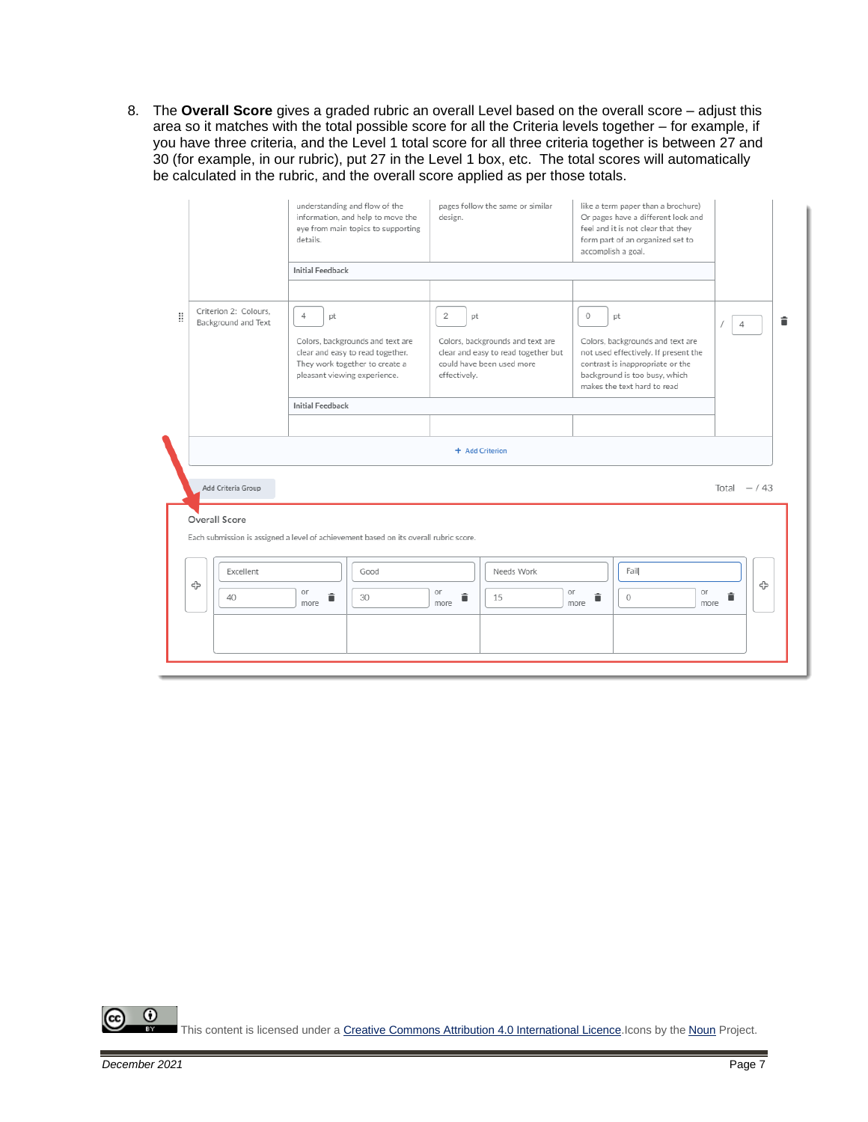8. The **Overall Score** gives a graded rubric an overall Level based on the overall score – adjust this area so it matches with the total possible score for all the Criteria levels together – for example, if you have three criteria, and the Level 1 total score for all three criteria together is between 27 and 30 (for example, in our rubric), put 27 in the Level 1 box, etc. The total scores will automatically be calculated in the rubric, and the overall score applied as per those totals.

|   |                                              | understanding and flow of the<br>information, and help to move the<br>eye from main topics to supporting<br>details.           | pages follow the same or similar<br>design.                                                                                  | like a term paper than a brochure)<br>Or pages have a different look and<br>feel and it is not clear that they<br>form part of an organized set to<br>accomplish a goal. |                     |
|---|----------------------------------------------|--------------------------------------------------------------------------------------------------------------------------------|------------------------------------------------------------------------------------------------------------------------------|--------------------------------------------------------------------------------------------------------------------------------------------------------------------------|---------------------|
|   |                                              | <b>Initial Feedback</b>                                                                                                        |                                                                                                                              |                                                                                                                                                                          |                     |
|   |                                              |                                                                                                                                |                                                                                                                              |                                                                                                                                                                          |                     |
| Ħ | Criterion 2: Colours.<br>Background and Text | $\overline{4}$<br>pt<br>Colors, backgrounds and text are<br>clear and easy to read together.<br>They work together to create a | $\overline{2}$<br>pt<br>Colors, backgrounds and text are<br>clear and easy to read together but<br>could have been used more | $\circ$<br>pt<br>Colors, backgrounds and text are<br>not used effectively. If present the<br>contrast is inappropriate or the                                            | î<br>$\overline{4}$ |
|   |                                              | pleasant viewing experience.                                                                                                   | effectively.                                                                                                                 | background is too busy, which<br>makes the text hard to read                                                                                                             |                     |
|   |                                              | <b>Initial Feedback</b>                                                                                                        |                                                                                                                              |                                                                                                                                                                          |                     |
|   |                                              |                                                                                                                                |                                                                                                                              |                                                                                                                                                                          |                     |
|   |                                              |                                                                                                                                | + Add Criterion                                                                                                              |                                                                                                                                                                          |                     |
|   | Add Criteria Group<br>Overall Score          | Each submission is assigned a level of achievement based on its overall rubric score.                                          |                                                                                                                              |                                                                                                                                                                          | Total $- / 43$      |
|   | Excellent                                    | Good                                                                                                                           | Needs Work                                                                                                                   | Fail                                                                                                                                                                     |                     |
|   | 유<br>40                                      | or<br>î<br>30<br>more                                                                                                          | or<br>or<br>î<br>15<br>more                                                                                                  | or<br>î<br>$\circ$<br>more<br>more                                                                                                                                       | ⊕<br>î              |
|   |                                              |                                                                                                                                |                                                                                                                              |                                                                                                                                                                          |                     |
|   |                                              |                                                                                                                                |                                                                                                                              |                                                                                                                                                                          |                     |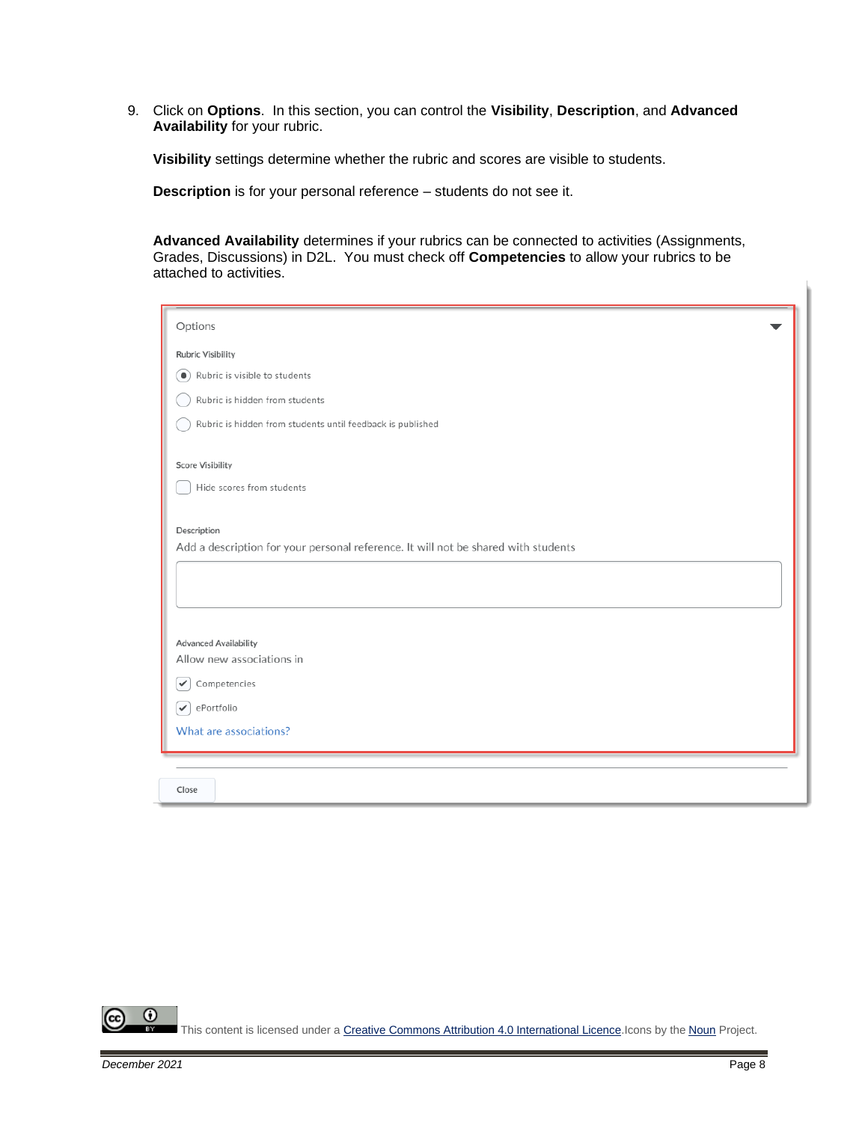9. Click on **Options**. In this section, you can control the **Visibility**, **Description**, and **Advanced Availability** for your rubric.

**Visibility** settings determine whether the rubric and scores are visible to students.

**Description** is for your personal reference – students do not see it.

**Advanced Availability** determines if your rubrics can be connected to activities (Assignments, Grades, Discussions) in D2L. You must check off **Competencies** to allow your rubrics to be attached to activities.

| Options                                                                            |
|------------------------------------------------------------------------------------|
| <b>Rubric Visibility</b>                                                           |
| Rubric is visible to students<br>$\bullet$                                         |
| Rubric is hidden from students                                                     |
|                                                                                    |
| Rubric is hidden from students until feedback is published                         |
| <b>Score Visibility</b>                                                            |
| Hide scores from students                                                          |
|                                                                                    |
| Description                                                                        |
| Add a description for your personal reference. It will not be shared with students |
|                                                                                    |
|                                                                                    |
|                                                                                    |
| <b>Advanced Availability</b>                                                       |
| Allow new associations in                                                          |
| Competencies<br>✓                                                                  |
| ePortfolio<br>$\checkmark$                                                         |
| What are associations?                                                             |
|                                                                                    |
|                                                                                    |
| Close                                                                              |